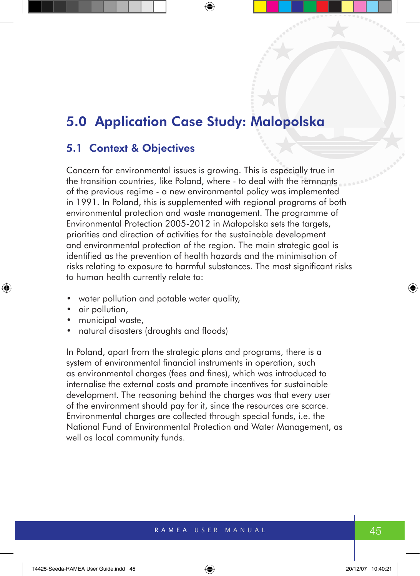# 5.0 Application Case Study: Malopolska

## 5.1 Context & Objectives

Concern for environmental issues is growing. This is especially true in the transition countries, like Poland, where - to deal with the remnants of the previous regime - a new environmental policy was implemented in 1991. In Poland, this is supplemented with regional programs of both environmental protection and waste management. The programme of Environmental Protection 2005-2012 in Małopolska sets the targets, priorities and direction of activities for the sustainable development and environmental protection of the region. The main strategic goal is identified as the prevention of health hazards and the minimisation of risks relating to exposure to harmful substances. The most significant risks to human health currently relate to:

- water pollution and potable water quality,
- air pollution,
- municipal waste,
- natural disasters (droughts and floods)

In Poland, apart from the strategic plans and programs, there is a system of environmental financial instruments in operation, such as environmental charges (fees and fines), which was introduced to internalise the external costs and promote incentives for sustainable development. The reasoning behind the charges was that every user of the environment should pay for it, since the resources are scarce. Environmental charges are collected through special funds, i.e. the National Fund of Environmental Protection and Water Management, as well as local community funds.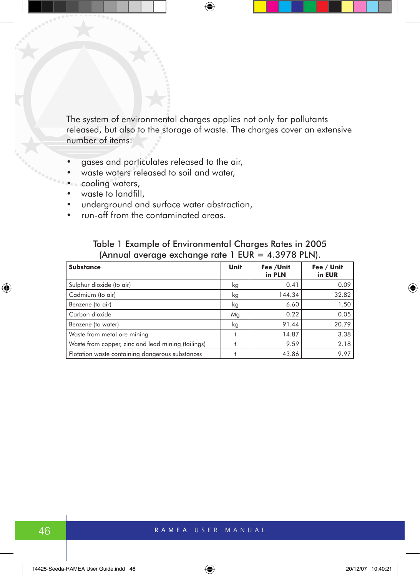The system of environmental charges applies not only for pollutants released, but also to the storage of waste. The charges cover an extensive number of items:

- gases and particulates released to the air,
- waste waters released to soil and water,
- cooling waters,
- waste to landfill,
- underground and surface water abstraction,
- run-off from the contaminated areas.

| (Annual average exchange rate 1 EUR = 4.3978 PLN). |             |                     |                      |  |
|----------------------------------------------------|-------------|---------------------|----------------------|--|
| <b>Substance</b>                                   | <b>Unit</b> | Fee /Unit<br>in PLN | Fee / Unit<br>in EUR |  |
| Sulphur dioxide (to air)                           | kg          | 0.41                | 0.09                 |  |
| Cadmium (to air)                                   | kg          | 144.34              | 32.82                |  |
| Benzene (to air)                                   | kg          | 6.60                | 1.50                 |  |
| Carbon dioxide                                     | Mg          | 0.22                | 0.05                 |  |
| Benzene (to water)                                 | kg          | 91.44               | 20.79                |  |
| Waste from metal ore mining                        |             | 14.87               | 3.38                 |  |
| Waste from copper, zinc and lead mining (tailings) |             | 9.59                | 2.18                 |  |

Flotation waste containing dangerous substances  $\begin{vmatrix} 1 & 43.86 \end{vmatrix}$  43.86 9.97

# Table 1 Example of Environmental Charges Rates in 2005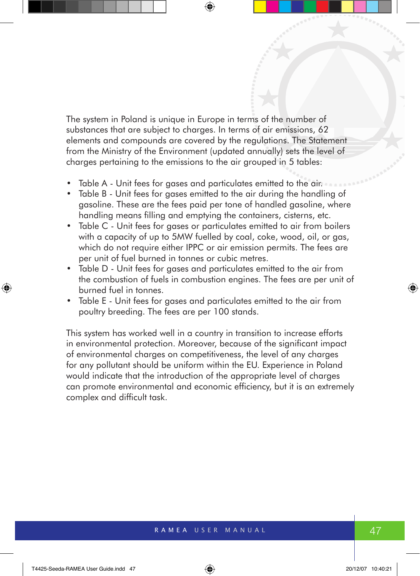The system in Poland is unique in Europe in terms of the number of substances that are subject to charges. In terms of air emissions, 62 elements and compounds are covered by the regulations. The Statement from the Ministry of the Environment (updated annually) sets the level of charges pertaining to the emissions to the air grouped in 5 tables:

- Table A Unit fees for gases and particulates emitted to the air.
- Table B Unit fees for gases emitted to the air during the handling of gasoline. These are the fees paid per tone of handled gasoline, where handling means filling and emptying the containers, cisterns, etc.
- Table C Unit fees for gases or particulates emitted to air from boilers with a capacity of up to 5MW fuelled by coal, coke, wood, oil, or gas, which do not require either IPPC or air emission permits. The fees are per unit of fuel burned in tonnes or cubic metres.
- Table D Unit fees for gases and particulates emitted to the air from the combustion of fuels in combustion engines. The fees are per unit of burned fuel in tonnes.
- Table E Unit fees for gases and particulates emitted to the air from poultry breeding. The fees are per 100 stands.

This system has worked well in a country in transition to increase efforts in environmental protection. Moreover, because of the significant impact of environmental charges on competitiveness, the level of any charges for any pollutant should be uniform within the EU. Experience in Poland would indicate that the introduction of the appropriate level of charges can promote environmental and economic efficiency, but it is an extremely complex and difficult task.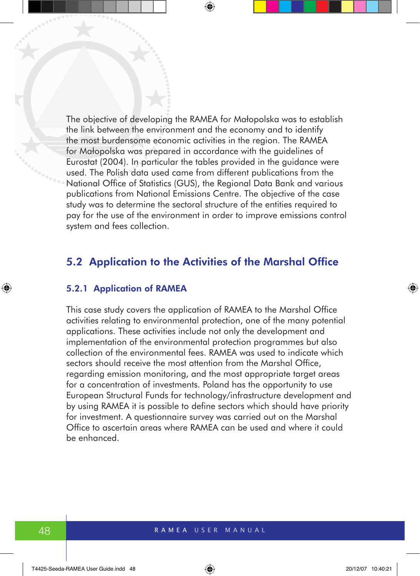The objective of developing the RAMEA for Małopolska was to establish the link between the environment and the economy and to identify the most burdensome economic activities in the region. The RAMEA for Małopolska was prepared in accordance with the guidelines of Eurostat (2004). In particular the tables provided in the guidance were used. The Polish data used came from different publications from the National Office of Statistics (GUS), the Regional Data Bank and various publications from National Emissions Centre. The objective of the case study was to determine the sectoral structure of the entities required to pay for the use of the environment in order to improve emissions control system and fees collection.

## 5.2 Application to the Activities of the Marshal Office

#### 5.2.1 Application of RAMEA

This case study covers the application of RAMEA to the Marshal Office activities relating to environmental protection, one of the many potential applications. These activities include not only the development and implementation of the environmental protection programmes but also collection of the environmental fees. RAMEA was used to indicate which sectors should receive the most attention from the Marshal Office, regarding emission monitoring, and the most appropriate target areas for a concentration of investments. Poland has the opportunity to use European Structural Funds for technology/infrastructure development and by using RAMEA it is possible to define sectors which should have priority for investment. A questionnaire survey was carried out on the Marshal Office to ascertain areas where RAMEA can be used and where it could be enhanced.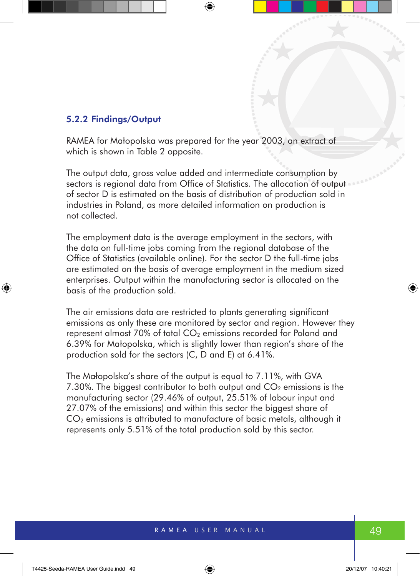#### 5.2.2 Findings/Output

RAMEA for Małopolska was prepared for the year 2003, an extract of which is shown in Table 2 opposite.

The output data, gross value added and intermediate consumption by sectors is regional data from Office of Statistics. The allocation of output of sector D is estimated on the basis of distribution of production sold in industries in Poland, as more detailed information on production is not collected.

The employment data is the average employment in the sectors, with the data on full-time jobs coming from the regional database of the Office of Statistics (available online). For the sector D the full-time jobs are estimated on the basis of average employment in the medium sized enterprises. Output within the manufacturing sector is allocated on the basis of the production sold.

The air emissions data are restricted to plants generating significant emissions as only these are monitored by sector and region. However they represent almost 70% of total CO<sub>2</sub> emissions recorded for Poland and 6.39% for Małopolska, which is slightly lower than region's share of the production sold for the sectors (C, D and E) at 6.41%.

The Małopolska's share of the output is equal to 7.11%, with GVA 7.30%. The biggest contributor to both output and  $CO<sub>2</sub>$  emissions is the manufacturing sector (29.46% of output, 25.51% of labour input and 27.07% of the emissions) and within this sector the biggest share of CO<sub>2</sub> emissions is attributed to manufacture of basic metals, although it represents only 5.51% of the total production sold by this sector.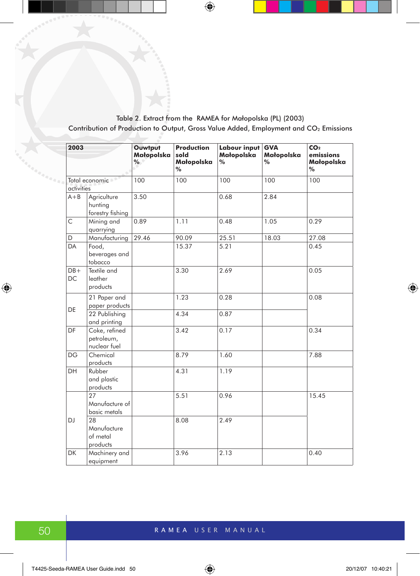Table 2. Extract from the RAMEA for Małopolska (PL) (2003) Contribution of Production to Output, Gross Value Added, Employment and CO<sub>2</sub> Emissions

|          | 2003                         |                                             | Ouwtput<br>Małopolska<br>% | <b>Production</b><br>sold<br>Małopolska<br>$\%$ | <b>Labour input</b><br>Małopolska<br>$\%$ | <b>GVA</b><br>Małopolska<br>$\%$ | CO <sub>2</sub><br>emissions<br>Małopolska<br>% |
|----------|------------------------------|---------------------------------------------|----------------------------|-------------------------------------------------|-------------------------------------------|----------------------------------|-------------------------------------------------|
| agganana | Total economic<br>activities |                                             | 100                        | 100                                             | 100                                       | 100                              | 100                                             |
|          | $A + B$                      | Agriculture<br>hunting<br>forestry fishing  | 3.50                       |                                                 | 0.68                                      | 2.84                             |                                                 |
|          | C                            | Mining and<br>quarrying                     | 0.89                       | 1.11                                            | 0.48                                      | 1.05                             | 0.29                                            |
|          | D                            | Manufacturing                               | 29.46                      | 90.09                                           | 25.51                                     | 18.03                            | 27.08                                           |
|          | <b>DA</b>                    | Food,<br>beverages and<br>tobacco           |                            | 15.37                                           | 5.21                                      |                                  | 0.45                                            |
|          | $DB+$<br><b>DC</b>           | Textile and<br>leather<br>products          |                            | 3.30                                            | 2.69                                      |                                  | 0.05                                            |
|          | DE                           | 21 Paper and<br>paper products              |                            | 1.23                                            | 0.28                                      |                                  | 0.08                                            |
|          |                              | 22 Publishing<br>and printing               |                            | 4.34                                            | 0.87                                      |                                  |                                                 |
|          | DF                           | Coke, refined<br>petroleum,<br>nuclear fuel |                            | 3.42                                            | 0.17                                      |                                  | 0.34                                            |
|          | <b>DG</b>                    | Chemical<br>products                        |                            | 8.79                                            | 1.60                                      |                                  | 7.88                                            |
|          | DH                           | Rubber<br>and plastic<br>products           |                            | 4.31                                            | 1.19                                      |                                  |                                                 |
|          |                              | 27<br>Manufacture of<br>basic metals        |                            | 5.51                                            | 0.96                                      |                                  | 15.45                                           |
|          | <b>DJ</b>                    | 28<br>Manufacture<br>of metal<br>products   |                            | 8.08                                            | 2.49                                      |                                  |                                                 |
|          | <b>DK</b>                    | Machinery and<br>equipment                  |                            | 3.96                                            | 2.13                                      |                                  | 0.40                                            |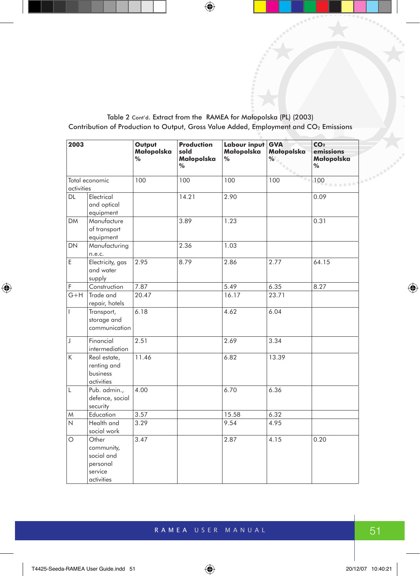Table 2 Cont'd. Extract from the RAMEA for Małopolska (PL) (2003) Contribution of Production to Output, Gross Value Added, Employment and CO<sub>2</sub> Emissions

| 2003           |                                                                        | Output<br>Małopolska<br>% | <b>Production</b><br>sold<br>Małopolska<br>% | Labour input<br>Małopolska<br>$\%$ | <b>GVA</b><br>Małopolska<br>% | CO <sub>2</sub><br>emissions<br>Małopolska<br>% |
|----------------|------------------------------------------------------------------------|---------------------------|----------------------------------------------|------------------------------------|-------------------------------|-------------------------------------------------|
| Total economic |                                                                        | 100                       | 100                                          | 100                                | 100                           | 100 <sub>°</sub>                                |
| activities     |                                                                        |                           |                                              |                                    |                               |                                                 |
| <b>DL</b>      | Electrical<br>and optical<br>equipment                                 |                           | 14.21                                        | 2.90                               |                               | 0.09                                            |
| <b>DM</b>      | Manufacture<br>of transport<br>equipment                               |                           | 3.89                                         | 1.23                               |                               | 0.31                                            |
| <b>DN</b>      | Manufacturing<br>n.e.c.                                                |                           | 2.36                                         | 1.03                               |                               |                                                 |
| E              | Electricity, gas<br>and water<br>supply                                | 2.95                      | 8.79                                         | 2.86                               | 2.77                          | 64.15                                           |
| F              | Construction                                                           | 7.87                      |                                              | 5.49                               | 6.35                          | 8.27                                            |
| $G+H$          | Trade and<br>repair, hotels                                            | 20.47                     |                                              | 16.17                              | 23.71                         |                                                 |
| $\mathbf{I}$   | Transport,<br>storage and<br>communication                             | 6.18                      |                                              | 4.62                               | 6.04                          |                                                 |
| $\mathsf J$    | Financial<br>intermediation                                            | 2.51                      |                                              | 2.69                               | 3.34                          |                                                 |
| K              | Real estate,<br>renting and<br>business<br>activities                  | 11.46                     |                                              | 6.82                               | 13.39                         |                                                 |
| Г              | Pub. admin.,<br>defence, social<br>security                            | 4.00                      |                                              | 6.70                               | 6.36                          |                                                 |
| W              | Education                                                              | 3.57                      |                                              | 15.58                              | 6.32                          |                                                 |
| N              | Health and<br>social work                                              | 3.29                      |                                              | 9.54                               | 4.95                          |                                                 |
| $\circ$        | Other<br>community,<br>social and<br>personal<br>service<br>activities | 3.47                      |                                              | 2.87                               | 4.15                          | 0.20                                            |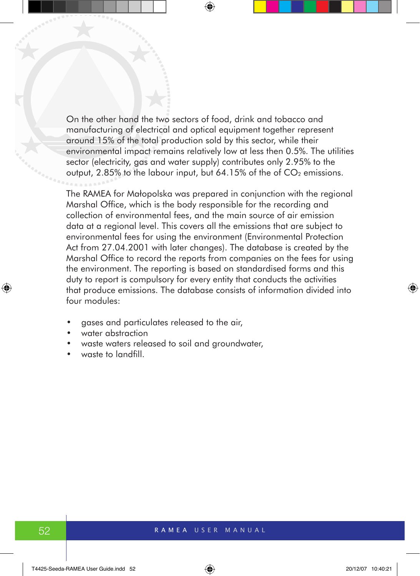On the other hand the two sectors of food, drink and tobacco and manufacturing of electrical and optical equipment together represent around 15% of the total production sold by this sector, while their environmental impact remains relatively low at less then 0.5%. The utilities sector (electricity, gas and water supply) contributes only 2.95% to the output,  $2.85\%$  to the labour input, but 64.15% of the of  $CO<sub>2</sub>$  emissions.

The RAMEA for Małopolska was prepared in conjunction with the regional Marshal Office, which is the body responsible for the recording and collection of environmental fees, and the main source of air emission data at a regional level. This covers all the emissions that are subject to environmental fees for using the environment (Environmental Protection Act from 27.04.2001 with later changes). The database is created by the Marshal Office to record the reports from companies on the fees for using the environment. The reporting is based on standardised forms and this duty to report is compulsory for every entity that conducts the activities that produce emissions. The database consists of information divided into four modules:

- aases and particulates released to the air,
- water abstraction
- waste waters released to soil and groundwater,
- waste to landfill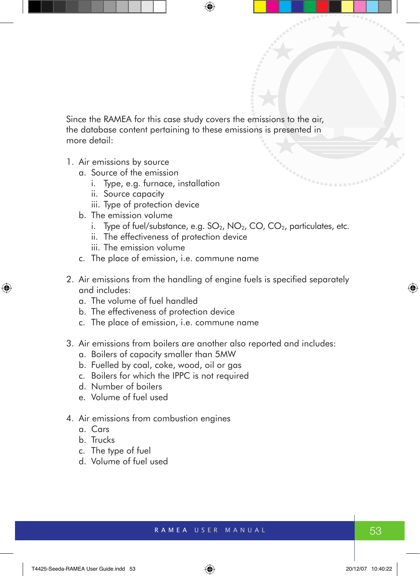Since the RAMEA for this case study covers the emissions to the air, the database content pertaining to these emissions is presented in more detail:

- 1. Air emissions by source
	- a. Source of the emission
		- i. Type, e.g. furnace, installation
		- ii. Source capacity
		- iii. Type of protection device
	- b. The emission volume
		- i. Type of fuel/substance, e.g.  $SO_2$ ,  $NO_2$ ,  $CO$ ,  $CO_2$ , particulates, etc.
		- ii. The effectiveness of protection device
		- iii. The emission volume
	- c. The place of emission, i.e. commune name
- 2. Air emissions from the handling of engine fuels is specified separately and includes:
	- a. The volume of fuel handled
	- b. The effectiveness of protection device
	- c. The place of emission, i.e. commune name
- 3. Air emissions from boilers are another also reported and includes:
	- a. Boilers of capacity smaller than 5MW
	- b. Fuelled by coal, coke, wood, oil or gas
	- c. Boilers for which the IPPC is not required
	- d. Number of boilers
	- e. Volume of fuel used
- 4. Air emissions from combustion engines
	- a. Cars
	- b. Trucks
	- c. The type of fuel
	- d. Volume of fuel used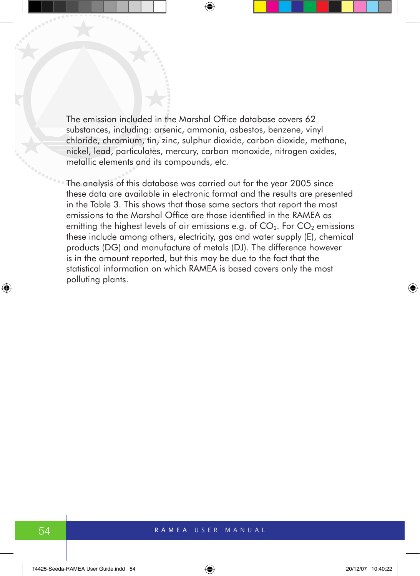The emission included in the Marshal Office database covers 62 substances, including: arsenic, ammonia, asbestos, benzene, vinyl chloride, chromium, tin, zinc, sulphur dioxide, carbon dioxide, methane, nickel, lead, particulates, mercury, carbon monoxide, nitrogen oxides, metallic elements and its compounds, etc.

The analysis of this database was carried out for the year 2005 since these data are available in electronic format and the results are presented in the Table 3. This shows that those same sectors that report the most emissions to the Marshal Office are those identified in the RAMEA as emitting the highest levels of air emissions e.g. of  $CO<sub>2</sub>$ . For  $CO<sub>2</sub>$  emissions these include among others, electricity, gas and water supply (E), chemical products (DG) and manufacture of metals (DJ). The difference however is in the amount reported, but this may be due to the fact that the statistical information on which RAMEA is based covers only the most polluting plants.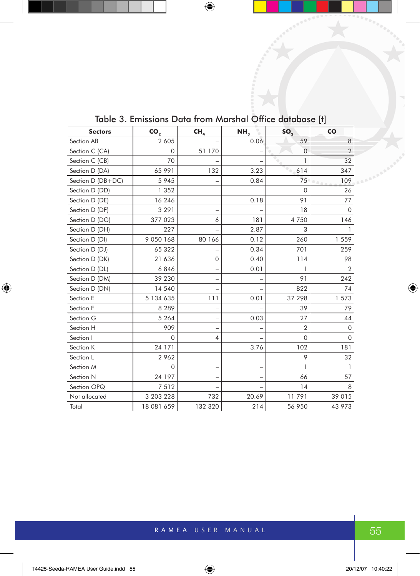| <b>Sectors</b>    | CO.           | CH,            | NH <sub>3</sub> | SO <sub>2</sub> | CO             |
|-------------------|---------------|----------------|-----------------|-----------------|----------------|
| Section AB        | 2 6 0 5       |                | 0.06            | 59              | 8              |
| Section C (CA)    | $\Omega$      | 51 170         |                 | $\Omega$        | $\overline{2}$ |
| Section C (CB)    | 70            |                |                 | 1               | 32             |
| Section D (DA)    | 65 991        | 132            | 3.23            | 614             | 347            |
| Section D (DB+DC) | 5 9 4 5       |                | 0.84            | 75              | 109<br>0.00    |
| Section D (DD)    | 1 352         |                |                 | 0               | 26             |
| Section D (DE)    | 16 246        |                | 0.18            | 91              | 77             |
| Section D (DF)    | 3 2 9 1       |                |                 | 18              | $\Omega$       |
| Section D (DG)    | 377 023       | 6              | 181             | 4750            | 146            |
| Section D (DH)    | 227           |                | 2.87            | 3               |                |
| Section D (DI)    | 9 0 5 0 1 6 8 | 80 166         | 0.12            | 260             | 1559           |
| Section D (DJ)    | 65 322        |                | 0.34            | 701             | 259            |
| Section D (DK)    | 21 636        | $\mathbf 0$    | 0.40            | 114             | 98             |
| Section D (DL)    | 6846          |                | 0.01            |                 | $\overline{2}$ |
| Section D (DM)    | 39 230        |                |                 | 91              | 242            |
| Section D (DN)    | 14 540        |                |                 | 822             | 74             |
| Section E         | 5 134 635     | 111            | 0.01            | 37 298          | 1 573          |
| Section F         | 8 2 8 9       |                |                 | 39              | 79             |
| Section G         | 5 2 6 4       |                | 0.03            | 27              | 44             |
| Section H         | 909           |                |                 | $\overline{2}$  | $\Omega$       |
| Section I         | $\Omega$      | $\overline{4}$ |                 | 0               | $\Omega$       |
| Section K         | 24 171        |                | 3.76            | 102             | 181            |
| Section L         | 2962          |                | -               | 9               | 32             |
| Section M         | $\Omega$      |                | -               | 1               | 1              |
| Section N         | 24 197        |                | -               | 66              | 57             |
| Section OPQ       | 7512          |                |                 | 14              | 8              |
| Not allocated     | 3 203 228     | 732            | 20.69           | 11791           | 39 015         |
| Total             | 18 081 659    | 132 320        | 214             | 56 950          | 43 973         |

Table 3. Emissions Data from Marshal Office database [t]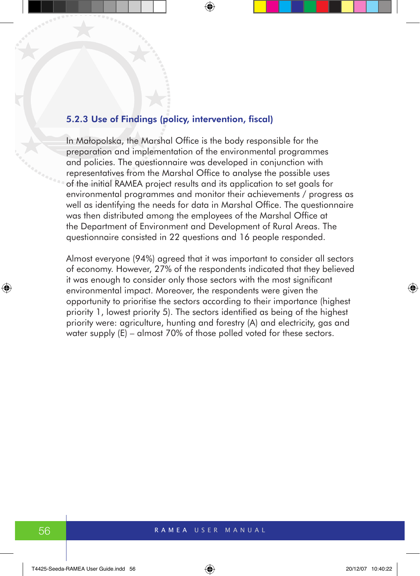#### 5.2.3 Use of Findings (policy, intervention, fiscal)

In Małopolska, the Marshal Office is the body responsible for the preparation and implementation of the environmental programmes and policies. The questionnaire was developed in conjunction with representatives from the Marshal Office to analyse the possible uses of the initial RAMEA project results and its application to set goals for environmental programmes and monitor their achievements / progress as well as identifying the needs for data in Marshal Office. The questionnaire was then distributed among the employees of the Marshal Office at the Department of Environment and Development of Rural Areas. The questionnaire consisted in 22 questions and 16 people responded.

Almost everyone (94%) agreed that it was important to consider all sectors of economy. However, 27% of the respondents indicated that they believed it was enough to consider only those sectors with the most significant environmental impact. Moreover, the respondents were given the opportunity to prioritise the sectors according to their importance (highest priority 1, lowest priority 5). The sectors identified as being of the highest priority were: agriculture, hunting and forestry (A) and electricity, gas and water supply (E) – almost 70% of those polled voted for these sectors.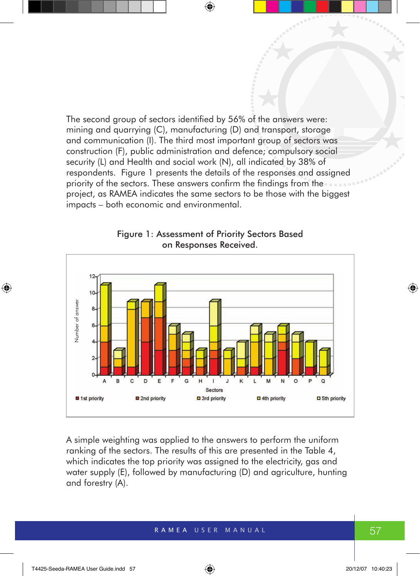The second group of sectors identified by 56% of the answers were: mining and quarrying (C), manufacturing (D) and transport, storage and communication (I). The third most important group of sectors was construction (F), public administration and defence; compulsory social security (L) and Health and social work (N), all indicated by 38% of respondents. Figure 1 presents the details of the responses and assigned priority of the sectors. These answers confirm the findings from the project, as RAMEA indicates the same sectors to be those with the biggest impacts – both economic and environmental.



Figure 1: Assessment of Priority Sectors Based on Responses Received.

A simple weighting was applied to the answers to perform the uniform ranking of the sectors. The results of this are presented in the Table 4, which indicates the top priority was assigned to the electricity, gas and water supply (E), followed by manufacturing (D) and agriculture, hunting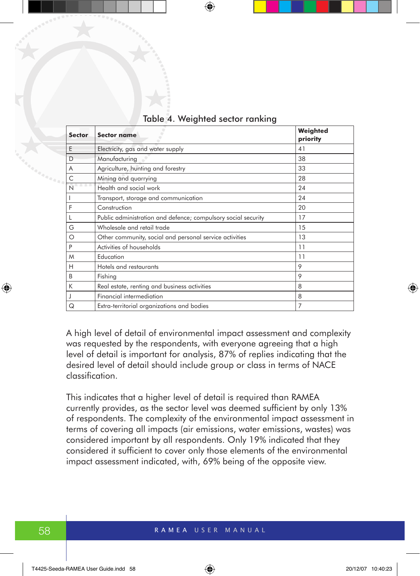| <b>Sector</b> | Sector name                                                   | Weighted<br>priority |
|---------------|---------------------------------------------------------------|----------------------|
| E             | Electricity, gas and water supply                             | 41                   |
| D             | Manufacturing                                                 | 38                   |
| A             | Agriculture, hunting and forestry                             | 33                   |
| Ċ             | Mining and quarrying                                          | 28                   |
| N             | Health and social work                                        | 24                   |
|               | Transport, storage and communication                          | 24                   |
| F             | Construction                                                  | 20                   |
|               | Public administration and defence; compulsory social security | 17                   |
| G             | Wholesale and retail trade                                    | 15                   |
| Ο             | Other community, social and personal service activities       | 13                   |
| P             | Activities of households                                      | 11                   |
| M             | Education                                                     | 11                   |
| H             | Hotels and restaurants                                        | 9                    |
| B             | Fishing                                                       | 9                    |
| K             | Real estate, renting and business activities                  | 8                    |
|               | Financial intermediation                                      | 8                    |
| Q             | Extra-territorial organizations and bodies                    | 7                    |

#### Table 4. Weighted sector ranking

A high level of detail of environmental impact assessment and complexity was requested by the respondents, with everyone agreeing that a high level of detail is important for analysis, 87% of replies indicating that the desired level of detail should include group or class in terms of NACE classification.

This indicates that a higher level of detail is required than RAMEA currently provides, as the sector level was deemed sufficient by only 13% of respondents. The complexity of the environmental impact assessment in terms of covering all impacts (air emissions, water emissions, wastes) was considered important by all respondents. Only 19% indicated that they considered it sufficient to cover only those elements of the environmental impact assessment indicated, with, 69% being of the opposite view.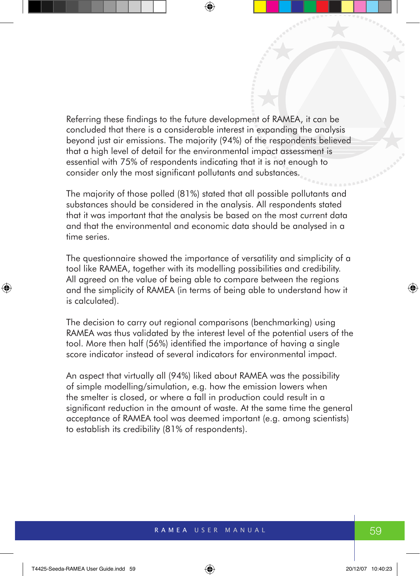Referring these findings to the future development of RAMEA, it can be concluded that there is a considerable interest in expanding the analysis beyond just air emissions. The majority (94%) of the respondents believed that a high level of detail for the environmental impact assessment is essential with 75% of respondents indicating that it is not enough to consider only the most significant pollutants and substances.

The majority of those polled (81%) stated that all possible pollutants and substances should be considered in the analysis. All respondents stated that it was important that the analysis be based on the most current data and that the environmental and economic data should be analysed in a time series.

The questionnaire showed the importance of versatility and simplicity of a tool like RAMEA, together with its modelling possibilities and credibility. All agreed on the value of being able to compare between the regions and the simplicity of RAMEA (in terms of being able to understand how it is calculated).

The decision to carry out regional comparisons (benchmarking) using RAMEA was thus validated by the interest level of the potential users of the tool. More then half (56%) identified the importance of having a single score indicator instead of several indicators for environmental impact.

An aspect that virtually all (94%) liked about RAMEA was the possibility of simple modelling/simulation, e.g. how the emission lowers when the smelter is closed, or where a fall in production could result in a significant reduction in the amount of waste. At the same time the general acceptance of RAMEA tool was deemed important (e.g. among scientists) to establish its credibility (81% of respondents).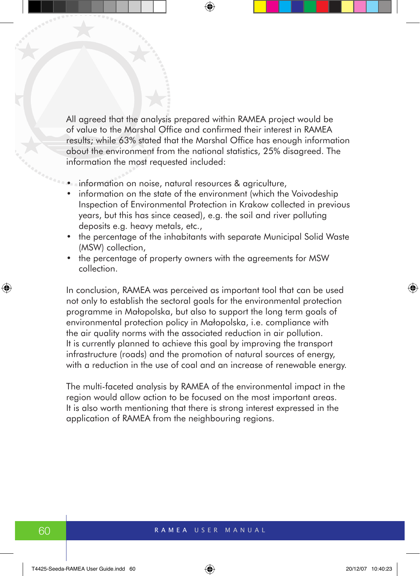All agreed that the analysis prepared within RAMEA project would be of value to the Marshal Office and confirmed their interest in RAMEA results; while 63% stated that the Marshal Office has enough information about the environment from the national statistics, 25% disagreed. The information the most requested included:

- information on noise, natural resources & agriculture,
- information on the state of the environment (which the Voivodeship Inspection of Environmental Protection in Krakow collected in previous years, but this has since ceased), e.g. the soil and river polluting deposits e.g. heavy metals, etc.,
- the percentage of the inhabitants with separate Municipal Solid Waste (MSW) collection,
- the percentage of property owners with the agreements for MSW collection.

In conclusion, RAMEA was perceived as important tool that can be used not only to establish the sectoral goals for the environmental protection programme in Małopolska, but also to support the long term goals of environmental protection policy in Małopolska, i.e. compliance with the air quality norms with the associated reduction in air pollution. It is currently planned to achieve this goal by improving the transport infrastructure (roads) and the promotion of natural sources of energy, with a reduction in the use of coal and an increase of renewable energy.

The multi-faceted analysis by RAMEA of the environmental impact in the region would allow action to be focused on the most important areas. It is also worth mentioning that there is strong interest expressed in the application of RAMEA from the neighbouring regions.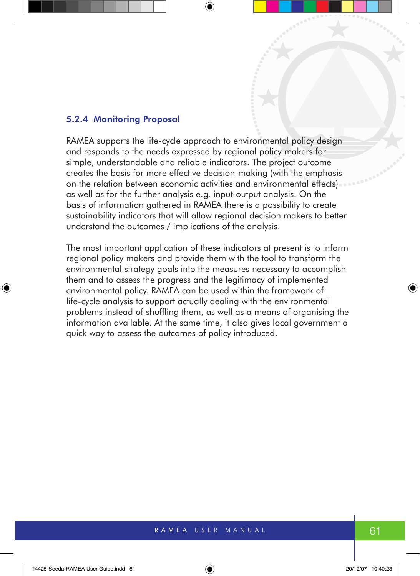#### 5.2.4 Monitoring Proposal

RAMEA supports the life-cycle approach to environmental policy design and responds to the needs expressed by regional policy makers for simple, understandable and reliable indicators. The project outcome creates the basis for more effective decision-making (with the emphasis on the relation between economic activities and environmental effects) as well as for the further analysis e.g. input-output analysis. On the basis of information gathered in RAMEA there is a possibility to create sustainability indicators that will allow regional decision makers to better understand the outcomes / implications of the analysis.

The most important application of these indicators at present is to inform regional policy makers and provide them with the tool to transform the environmental strategy goals into the measures necessary to accomplish them and to assess the progress and the legitimacy of implemented environmental policy. RAMEA can be used within the framework of life-cycle analysis to support actually dealing with the environmental problems instead of shuffling them, as well as a means of organising the information available. At the same time, it also gives local government a quick way to assess the outcomes of policy introduced.